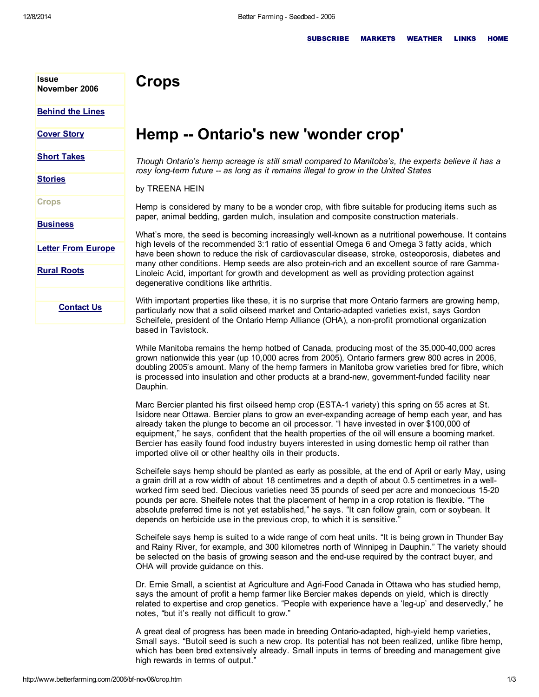**Issue** 

## **Crops**

[Behind](http://www.betterfarming.com/2006/bf-nov06/behtlin.htm) the Lines

November 2006

## **[Cover](http://www.betterfarming.com/2006/bf-nov06/cover.htm) Story**

**Short [Takes](http://www.betterfarming.com/2006/bf-nov06/short.htm)** 

**[Stories](http://www.betterfarming.com/2006/bf-nov06/bf-nov06.htm)** 

**Crops** 

**[Business](http://www.betterfarming.com/2006/bf-nov06/biz.htm)** 

Letter From [Europe](http://www.betterfarming.com/2006/bf-nov06/europe.htm)

Rural [Roots](http://www.betterfarming.com/2006/bf-nov06/rr.htm)

Contact Us

## Hemp -- Ontario's new 'wonder crop'

*Though Ontario's hemp acreage is still small compared to Manitoba's, the experts believe it has a rosy longterm future as long as it remains illegal to grow in the United States*

by TREENA HEIN

Hemp is considered by many to be a wonder crop, with fibre suitable for producing items such as paper, animal bedding, garden mulch, insulation and composite construction materials.

What's more, the seed is becoming increasingly well-known as a nutritional powerhouse. It contains high levels of the recommended 3:1 ratio of essential Omega 6 and Omega 3 fatty acids, which have been shown to reduce the risk of cardiovascular disease, stroke, osteoporosis, diabetes and many other conditions. Hemp seeds are also protein-rich and an excellent source of rare Gamma-Linoleic Acid, important for growth and development as well as providing protection against degenerative conditions like arthritis.

With important properties like these, it is no surprise that more Ontario farmers are growing hemp, particularly now that a solid oilseed market and Ontario-adapted varieties exist, says Gordon Scheifele, president of the Ontario Hemp Alliance (OHA), a non-profit promotional organization based in Tavistock.

While Manitoba remains the hemp hotbed of Canada, producing most of the 35,00040,000 acres grown nationwide this year (up 10,000 acres from 2005), Ontario farmers grew 800 acres in 2006, doubling 2005's amount. Many of the hemp farmers in Manitoba grow varieties bred for fibre, which is processed into insulation and other products at a brand-new, government-funded facility near Dauphin.

Marc Bercier planted his first oilseed hemp crop (ESTA-1 variety) this spring on 55 acres at St. Isidore near Ottawa. Bercier plans to grow an everexpanding acreage of hemp each year, and has already taken the plunge to become an oil processor. "I have invested in over \$100,000 of equipment," he says, confident that the health properties of the oil will ensure a booming market. Bercier has easily found food industry buyers interested in using domestic hemp oil rather than imported olive oil or other healthy oils in their products.

Scheifele says hemp should be planted as early as possible, at the end of April or early May, using a grain drill at a row width of about 18 centimetres and a depth of about 0.5 centimetres in a wellworked firm seed bed. Diecious varieties need 35 pounds of seed per acre and monoecious 1520 pounds per acre. Sheifele notes that the placement of hemp in a crop rotation is flexible. "The absolute preferred time is not yet established," he says. "It can follow grain, corn or soybean. It depends on herbicide use in the previous crop, to which it is sensitive."

Scheifele says hemp is suited to a wide range of corn heat units. "It is being grown in Thunder Bay and Rainy River, for example, and 300 kilometres north of Winnipeg in Dauphin." The variety should be selected on the basis of growing season and the end-use required by the contract buyer, and OHA will provide guidance on this.

Dr. Ernie Small, a scientist at Agriculture and Agri-Food Canada in Ottawa who has studied hemp, says the amount of profit a hemp farmer like Bercier makes depends on yield, which is directly related to expertise and crop genetics. "People with experience have a 'leg-up' and deservedly," he notes, "but it's really not difficult to grow."

A great deal of progress has been made in breeding Ontario-adapted, high-yield hemp varieties, Small says. "Butoil seed is such a new crop. Its potential has not been realized, unlike fibre hemp, which has been bred extensively already. Small inputs in terms of breeding and management give high rewards in terms of output."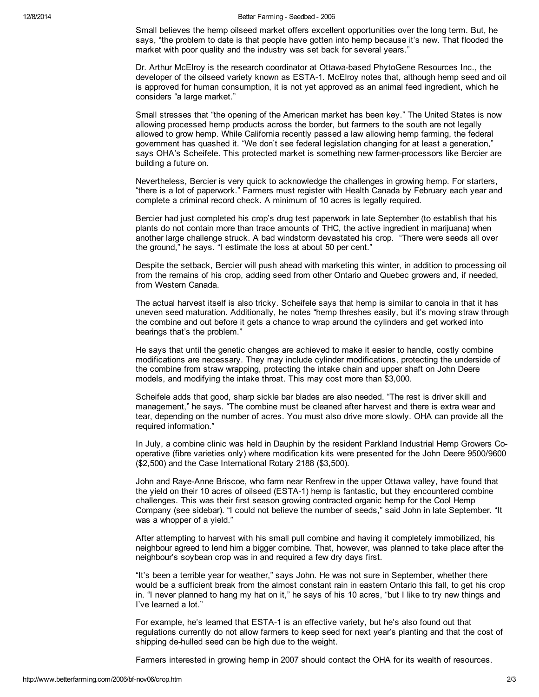Small believes the hemp oilseed market offers excellent opportunities over the long term. But, he says, "the problem to date is that people have gotten into hemp because it's new. That flooded the market with poor quality and the industry was set back for several years."

Dr. Arthur McElroy is the research coordinator at Ottawa-based PhytoGene Resources Inc., the developer of the oilseed variety known as ESTA-1. McElroy notes that, although hemp seed and oil is approved for human consumption, it is not yet approved as an animal feed ingredient, which he considers "a large market."

Small stresses that "the opening of the American market has been key." The United States is now allowing processed hemp products across the border, but farmers to the south are not legally allowed to grow hemp. While California recently passed a law allowing hemp farming, the federal government has quashed it. "We don't see federal legislation changing for at least a generation," says OHA's Scheifele. This protected market is something new farmer-processors like Bercier are building a future on.

Nevertheless, Bercier is very quick to acknowledge the challenges in growing hemp. For starters, "there is a lot of paperwork." Farmers must register with Health Canada by February each year and complete a criminal record check. A minimum of 10 acres is legally required.

Bercier had just completed his crop's drug test paperwork in late September (to establish that his plants do not contain more than trace amounts of THC, the active ingredient in marijuana) when another large challenge struck. A bad windstorm devastated his crop. "There were seeds all over the ground," he says. "I estimate the loss at about 50 per cent."

Despite the setback, Bercier will push ahead with marketing this winter, in addition to processing oil from the remains of his crop, adding seed from other Ontario and Quebec growers and, if needed, from Western Canada.

The actual harvest itself is also tricky. Scheifele says that hemp is similar to canola in that it has uneven seed maturation. Additionally, he notes "hemp threshes easily, but it's moving straw through the combine and out before it gets a chance to wrap around the cylinders and get worked into bearings that's the problem."

He says that until the genetic changes are achieved to make it easier to handle, costly combine modifications are necessary. They may include cylinder modifications, protecting the underside of the combine from straw wrapping, protecting the intake chain and upper shaft on John Deere models, and modifying the intake throat. This may cost more than \$3,000.

Scheifele adds that good, sharp sickle bar blades are also needed. "The rest is driver skill and management," he says. "The combine must be cleaned after harvest and there is extra wear and tear, depending on the number of acres. You must also drive more slowly. OHA can provide all the required information."

In July, a combine clinic was held in Dauphin by the resident Parkland Industrial Hemp Growers Cooperative (fibre varieties only) where modification kits were presented for the John Deere 9500/9600 (\$2,500) and the Case International Rotary 2188 (\$3,500).

John and Raye-Anne Briscoe, who farm near Renfrew in the upper Ottawa valley, have found that the yield on their 10 acres of oilseed (ESTA-1) hemp is fantastic, but they encountered combine challenges. This was their first season growing contracted organic hemp for the Cool Hemp Company (see sidebar). "I could not believe the number of seeds," said John in late September. "It was a whopper of a yield."

After attempting to harvest with his small pull combine and having it completely immobilized, his neighbour agreed to lend him a bigger combine. That, however, was planned to take place after the neighbour's soybean crop was in and required a few dry days first.

"It's been a terrible year for weather," says John. He was not sure in September, whether there would be a sufficient break from the almost constant rain in eastern Ontario this fall, to get his crop in. "I never planned to hang my hat on it," he says of his 10 acres, "but I like to try new things and I've learned a lot."

For example, he's learned that ESTA-1 is an effective variety, but he's also found out that regulations currently do not allow farmers to keep seed for next year's planting and that the cost of shipping de-hulled seed can be high due to the weight.

Farmers interested in growing hemp in 2007 should contact the OHA for its wealth of resources.